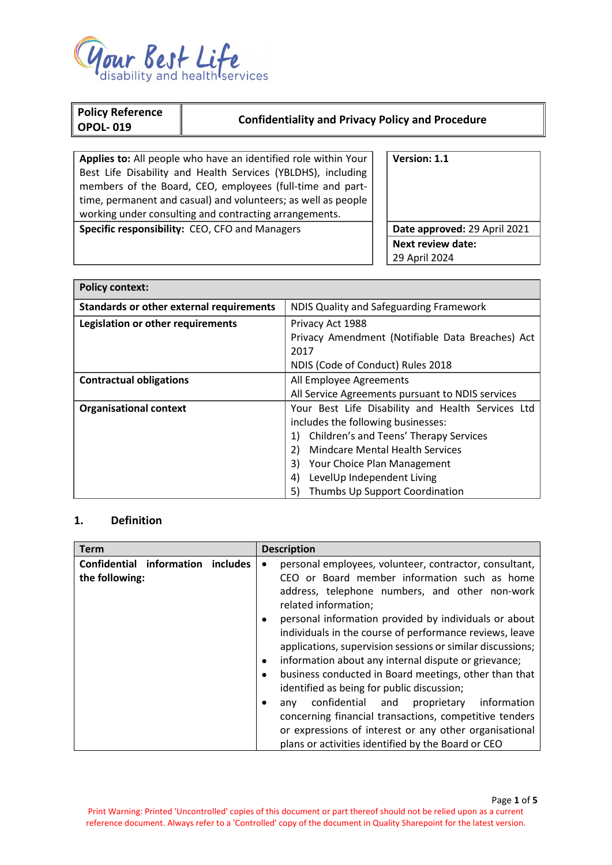

F

| Policy Reference<br><b>OPOL-019</b>                            | <b>Confidentiality and Privacy Policy and Procedure</b> |              |
|----------------------------------------------------------------|---------------------------------------------------------|--------------|
|                                                                |                                                         |              |
| Applies to: All people who have an identified role within Your |                                                         | Version: 1.1 |
| Best Life Disability and Health Services (YBLDHS), including   |                                                         |              |
| members of the Board, CEO, employees (full-time and part-      |                                                         |              |
| time, permanent and casual) and volunteers; as well as people  |                                                         |              |
| working under consulting and contracting arrangements.         |                                                         |              |

**Specific responsibility:** CEO, CFO and Managers **Date approved:** 29 April 2021

**Next review date:** 29 April 2024

| <b>Policy context:</b>                          |                                                   |  |
|-------------------------------------------------|---------------------------------------------------|--|
| <b>Standards or other external requirements</b> | NDIS Quality and Safeguarding Framework           |  |
| Legislation or other requirements               | Privacy Act 1988                                  |  |
|                                                 | Privacy Amendment (Notifiable Data Breaches) Act  |  |
|                                                 | 2017                                              |  |
|                                                 | NDIS (Code of Conduct) Rules 2018                 |  |
| <b>Contractual obligations</b>                  | All Employee Agreements                           |  |
|                                                 | All Service Agreements pursuant to NDIS services  |  |
| <b>Organisational context</b>                   | Your Best Life Disability and Health Services Ltd |  |
|                                                 | includes the following businesses:                |  |
|                                                 | Children's and Teens' Therapy Services<br>1)      |  |
|                                                 | 2)<br><b>Mindcare Mental Health Services</b>      |  |
|                                                 | 3)<br>Your Choice Plan Management                 |  |
|                                                 | LevelUp Independent Living<br>4)                  |  |
|                                                 | 5)<br>Thumbs Up Support Coordination              |  |

# **1. Definition**

| <b>Term</b>                                         | <b>Description</b>                                                                                                                                                                                                                                                                                                                                                                                                                                                                                                                                                                                                                                          |
|-----------------------------------------------------|-------------------------------------------------------------------------------------------------------------------------------------------------------------------------------------------------------------------------------------------------------------------------------------------------------------------------------------------------------------------------------------------------------------------------------------------------------------------------------------------------------------------------------------------------------------------------------------------------------------------------------------------------------------|
| Confidential information includes<br>the following: | personal employees, volunteer, contractor, consultant,<br>$\bullet$<br>CEO or Board member information such as home<br>address, telephone numbers, and other non-work<br>related information;<br>personal information provided by individuals or about<br>$\bullet$<br>individuals in the course of performance reviews, leave<br>applications, supervision sessions or similar discussions;<br>information about any internal dispute or grievance;<br>$\bullet$<br>business conducted in Board meetings, other than that<br>$\bullet$<br>identified as being for public discussion;<br>confidential and<br>proprietary<br>information<br>anv<br>$\bullet$ |
|                                                     | concerning financial transactions, competitive tenders                                                                                                                                                                                                                                                                                                                                                                                                                                                                                                                                                                                                      |
|                                                     | or expressions of interest or any other organisational                                                                                                                                                                                                                                                                                                                                                                                                                                                                                                                                                                                                      |
|                                                     | plans or activities identified by the Board or CEO                                                                                                                                                                                                                                                                                                                                                                                                                                                                                                                                                                                                          |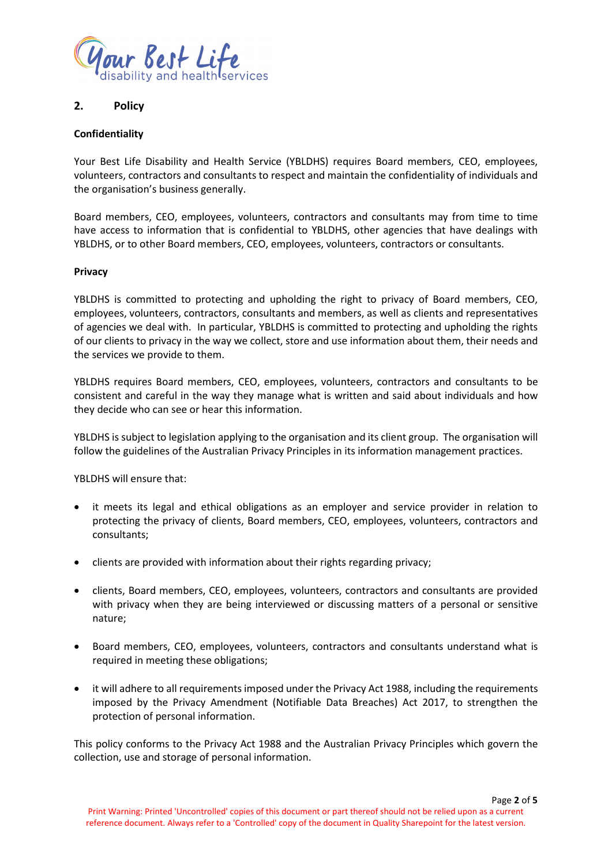

# **2. Policy**

# **Confidentiality**

Your Best Life Disability and Health Service (YBLDHS) requires Board members, CEO, employees, volunteers, contractors and consultants to respect and maintain the confidentiality of individuals and the organisation's business generally.

Board members, CEO, employees, volunteers, contractors and consultants may from time to time have access to information that is confidential to YBLDHS, other agencies that have dealings with YBLDHS, or to other Board members, CEO, employees, volunteers, contractors or consultants.

# **Privacy**

YBLDHS is committed to protecting and upholding the right to privacy of Board members, CEO, employees, volunteers, contractors, consultants and members, as well as clients and representatives of agencies we deal with. In particular, YBLDHS is committed to protecting and upholding the rights of our clients to privacy in the way we collect, store and use information about them, their needs and the services we provide to them.

YBLDHS requires Board members, CEO, employees, volunteers, contractors and consultants to be consistent and careful in the way they manage what is written and said about individuals and how they decide who can see or hear this information.

YBLDHS is subject to legislation applying to the organisation and its client group. The organisation will follow the guidelines of the Australian Privacy Principles in its information management practices.

YBLDHS will ensure that:

- it meets its legal and ethical obligations as an employer and service provider in relation to protecting the privacy of clients, Board members, CEO, employees, volunteers, contractors and consultants;
- clients are provided with information about their rights regarding privacy;
- clients, Board members, CEO, employees, volunteers, contractors and consultants are provided with privacy when they are being interviewed or discussing matters of a personal or sensitive nature;
- Board members, CEO, employees, volunteers, contractors and consultants understand what is required in meeting these obligations;
- it will adhere to all requirements imposed under the Privacy Act 1988, including the requirements imposed by the Privacy Amendment (Notifiable Data Breaches) Act 2017, to strengthen the protection of personal information.

This policy conforms to the Privacy Act 1988 and the Australian Privacy Principles which govern the collection, use and storage of personal information.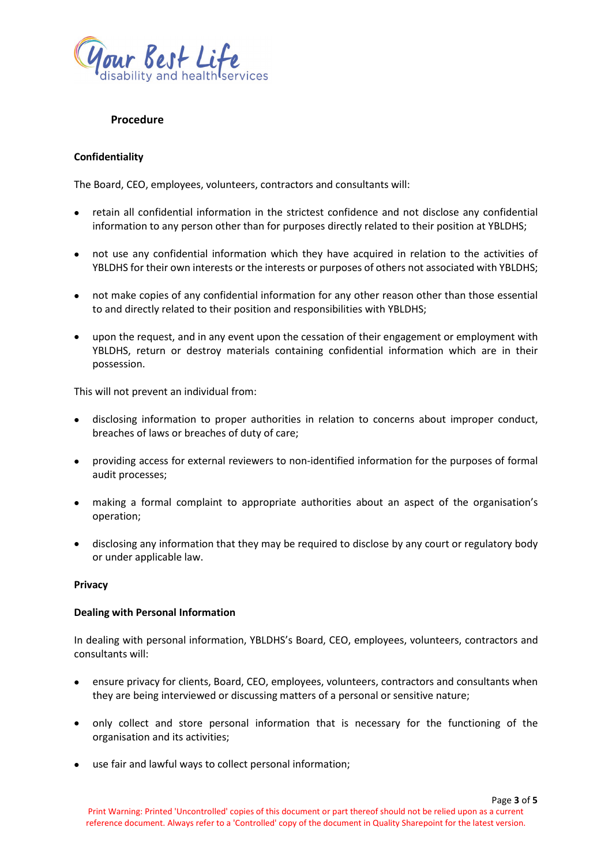

# **Procedure**

### **Confidentiality**

The Board, CEO, employees, volunteers, contractors and consultants will:

- retain all confidential information in the strictest confidence and not disclose any confidential information to any person other than for purposes directly related to their position at YBLDHS;
- not use any confidential information which they have acquired in relation to the activities of YBLDHS for their own interests or the interests or purposes of others not associated with YBLDHS;
- not make copies of any confidential information for any other reason other than those essential to and directly related to their position and responsibilities with YBLDHS;
- upon the request, and in any event upon the cessation of their engagement or employment with YBLDHS, return or destroy materials containing confidential information which are in their possession.

This will not prevent an individual from:

- disclosing information to proper authorities in relation to concerns about improper conduct, breaches of laws or breaches of duty of care;
- providing access for external reviewers to non-identified information for the purposes of formal audit processes;
- making a formal complaint to appropriate authorities about an aspect of the organisation's operation;
- disclosing any information that they may be required to disclose by any court or regulatory body or under applicable law.

#### **Privacy**

#### **Dealing with Personal Information**

In dealing with personal information, YBLDHS's Board, CEO, employees, volunteers, contractors and consultants will:

- ensure privacy for clients, Board, CEO, employees, volunteers, contractors and consultants when they are being interviewed or discussing matters of a personal or sensitive nature;
- only collect and store personal information that is necessary for the functioning of the organisation and its activities;
- use fair and lawful ways to collect personal information;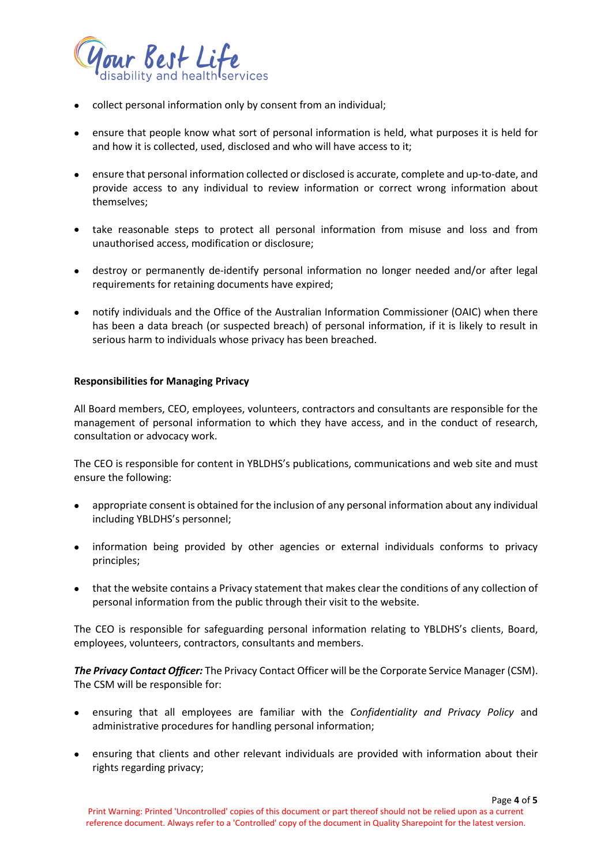

- collect personal information only by consent from an individual;
- ensure that people know what sort of personal information is held, what purposes it is held for and how it is collected, used, disclosed and who will have access to it;
- ensure that personal information collected or disclosed is accurate, complete and up-to-date, and provide access to any individual to review information or correct wrong information about themselves;
- take reasonable steps to protect all personal information from misuse and loss and from unauthorised access, modification or disclosure;
- destroy or permanently de-identify personal information no longer needed and/or after legal requirements for retaining documents have expired;
- notify individuals and the Office of the Australian Information Commissioner (OAIC) when there has been a data breach (or suspected breach) of personal information, if it is likely to result in serious harm to individuals whose privacy has been breached.

### **Responsibilities for Managing Privacy**

All Board members, CEO, employees, volunteers, contractors and consultants are responsible for the management of personal information to which they have access, and in the conduct of research, consultation or advocacy work.

The CEO is responsible for content in YBLDHS's publications, communications and web site and must ensure the following:

- appropriate consent is obtained for the inclusion of any personal information about any individual including YBLDHS's personnel;
- information being provided by other agencies or external individuals conforms to privacy principles;
- that the website contains a Privacy statement that makes clear the conditions of any collection of personal information from the public through their visit to the website.

The CEO is responsible for safeguarding personal information relating to YBLDHS's clients, Board, employees, volunteers, contractors, consultants and members.

*The Privacy Contact Officer:* The Privacy Contact Officer will be the Corporate Service Manager (CSM). The CSM will be responsible for:

- ensuring that all employees are familiar with the *Confidentiality and Privacy Policy* and administrative procedures for handling personal information;
- ensuring that clients and other relevant individuals are provided with information about their rights regarding privacy;